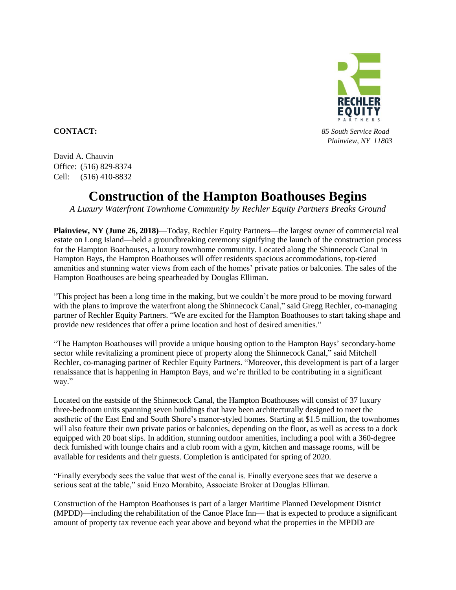

**CONTACT:** *85 South Service Road Plainview, NY 11803*

David A. Chauvin Office: (516) 829-8374 Cell: (516) 410-8832

## **Construction of the Hampton Boathouses Begins**

*A Luxury Waterfront Townhome Community by Rechler Equity Partners Breaks Ground*

**Plainview, NY (June 26, 2018)**—Today, Rechler Equity Partners—the largest owner of commercial real estate on Long Island—held a groundbreaking ceremony signifying the launch of the construction process for the Hampton Boathouses, a luxury townhome community. Located along the Shinnecock Canal in Hampton Bays, the Hampton Boathouses will offer residents spacious accommodations, top-tiered amenities and stunning water views from each of the homes' private patios or balconies. The sales of the Hampton Boathouses are being spearheaded by Douglas Elliman.

"This project has been a long time in the making, but we couldn't be more proud to be moving forward with the plans to improve the waterfront along the Shinnecock Canal," said Gregg Rechler, co-managing partner of Rechler Equity Partners. "We are excited for the Hampton Boathouses to start taking shape and provide new residences that offer a prime location and host of desired amenities."

"The Hampton Boathouses will provide a unique housing option to the Hampton Bays' secondary-home sector while revitalizing a prominent piece of property along the Shinnecock Canal," said Mitchell Rechler, co-managing partner of Rechler Equity Partners. "Moreover, this development is part of a larger renaissance that is happening in Hampton Bays, and we're thrilled to be contributing in a significant way."

Located on the eastside of the Shinnecock Canal, the Hampton Boathouses will consist of 37 luxury three-bedroom units spanning seven buildings that have been architecturally designed to meet the aesthetic of the East End and South Shore's manor-styled homes. Starting at \$1.5 million, the townhomes will also feature their own private patios or balconies, depending on the floor, as well as access to a dock equipped with 20 boat slips. In addition, stunning outdoor amenities, including a pool with a 360-degree deck furnished with lounge chairs and a club room with a gym, kitchen and massage rooms, will be available for residents and their guests. Completion is anticipated for spring of 2020.

"Finally everybody sees the value that west of the canal is. Finally everyone sees that we deserve a serious seat at the table," said Enzo Morabito, Associate Broker at Douglas Elliman.

Construction of the Hampton Boathouses is part of a larger Maritime Planned Development District (MPDD)—including the rehabilitation of the Canoe Place Inn— that is expected to produce a significant amount of property tax revenue each year above and beyond what the properties in the MPDD are